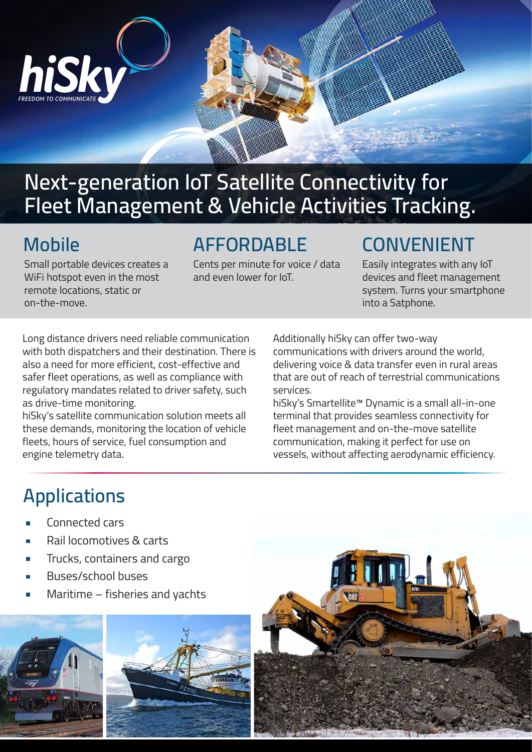

## **Next-generation IoT Satellite Connectivity for Fleet Management & Vehicle Activities Tracking.**

#### **Mobile**

Small portable devices creates a WiFi hotspot even in the most remote locations, static or on-the-move.

### **AFFORDABLE**

Cents per minute for voice / data� and even lower for IoT.

## **CONVENIENT**

Easily integrates with any IoT devices and fleet management system. Turns your smartphone into a Satphone.

Long distance drivers need reliable communication with both dispatchers and their destination. There is also a need for more efficient, cost-effective and safer fleet operations, as well as compliance with regulatory mandates related to driver safety, such as drive-time monitoring.

hiSky's satellite communication solution meets all these demands, monitoring the location of vehicle fleets, hours of service, fuel consumption and engine telemetry data.

Additionally hiSky can offer two-way communications with drivers around the world,

delivering voice & data transfer even in rural areas that are out of reach of terrestrial communications services.

hiSky's Smartellite™ Dynamic is a small all-in-one terminal that provides seamless connectivity for fleet management and on-the-move satellite communication, making it perfect for use on vessels, without affecting aerodynamic efficiency.

# **Applications**

- Connected cars
- Rail locomotives & carts
- Trucks, containers and cargo
- Buses/school buses
- Maritime fisheries and yachts